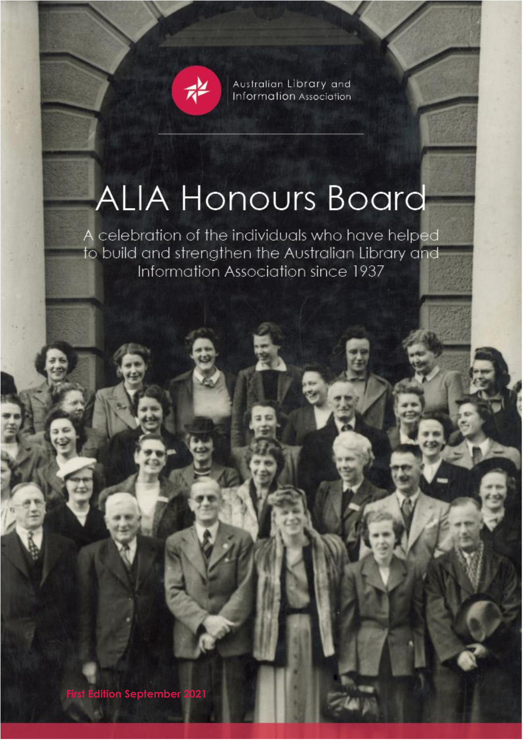

Australian Library and Information Association

# **ALIA Honours Board**

A celebration of the individuals who have helped to build and strengthen the Australian Library and Information Association since 1937

**First Edition September 2021**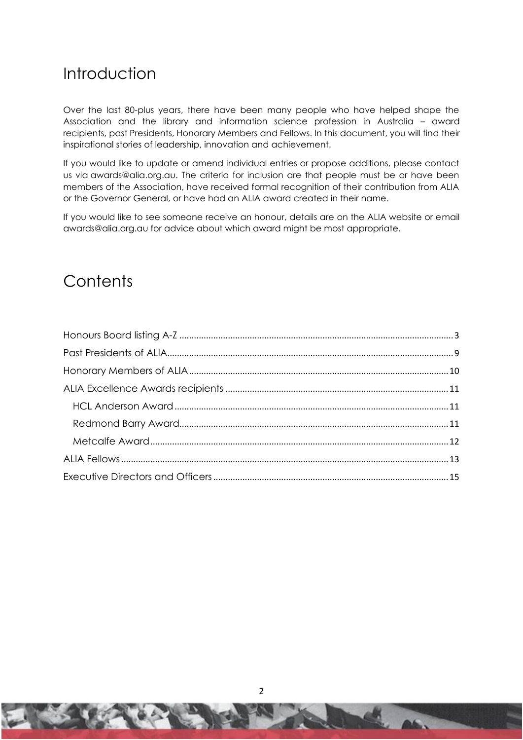# Introduction

Over the last 80-plus years, there have been many people who have helped shape the Association and the library and information science profession in Australia – award recipients, past Presidents, Honorary Members and Fellows. In this document, you will find their inspirational stories of leadership, innovation and achievement.

If you would like to update or amend individual entries or propose additions, please contact us via awards@alia.org.au. The criteria for inclusion are that people must be or have been members of the Association, have received formal recognition of their contribution from ALIA or the Governor General, or have had an ALIA award created in their name.

If you would like to see someone receive an honour, details are on the ALIA website or email awards@alia.org.au for advice about which award might be most appropriate.

# **Contents**

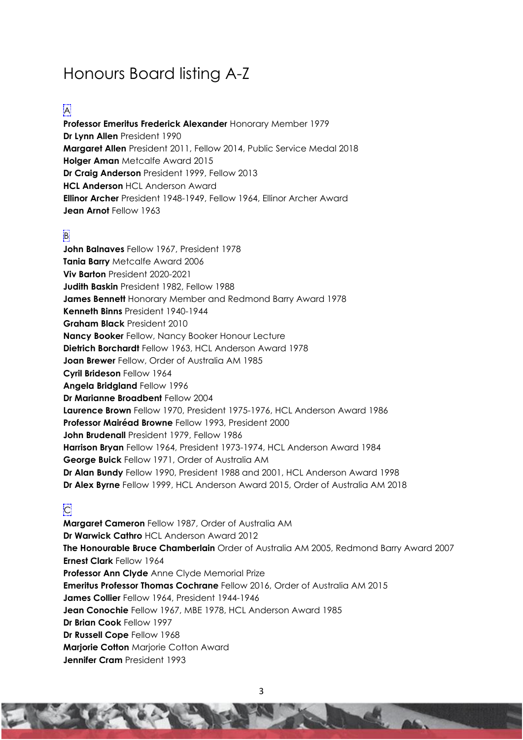# <span id="page-2-0"></span>Honours Board listing A-Z

#### A

**Professor Emeritus Frederick Alexander** Honorary Member 1979 **Dr Lynn Allen** President 1990 **Margaret Allen** President 2011, Fellow 2014, Public Service Medal 2018 **Holger Aman** Metcalfe Award 2015 **Dr Craig Anderson** President 1999, Fellow 2013 **HCL Anderson** HCL Anderson Award **Ellinor Archer** President 1948-1949, Fellow 1964, Ellinor Archer Award **Jean Arnot** Fellow 1963

## B

**John Balnaves** Fellow 1967, President 1978 **Tania Barry** Metcalfe Award 2006 **Viv Barton** President 2020-2021 **Judith Baskin** President 1982, Fellow 1988 **James Bennett** Honorary Member and Redmond Barry Award 1978 **Kenneth Binns** President 1940-1944 **Graham Black** President 2010 **Nancy Booker** Fellow, Nancy Booker Honour Lecture **Dietrich Borchardt** Fellow 1963, HCL Anderson Award 1978 **Joan Brewer** Fellow, Order of Australia AM 1985 **Cyril Brideson** Fellow 1964 **Angela Bridgland** Fellow 1996 **Dr Marianne Broadbent** Fellow 2004 **Laurence Brown** Fellow 1970, President 1975-1976, HCL Anderson Award 1986 **Professor Mairéad Browne** Fellow 1993, President 2000 **John Brudenall** President 1979, Fellow 1986 **Harrison Bryan** Fellow 1964, President 1973-1974, HCL Anderson Award 1984 **George Buick** Fellow 1971, Order of Australia AM **Dr Alan Bundy** Fellow 1990, President 1988 and 2001, HCL Anderson Award 1998 **Dr Alex Byrne** Fellow 1999, HCL Anderson Award 2015, Order of Australia AM 2018

## **C**

**Margaret Cameron** Fellow 1987, Order of Australia AM **Dr Warwick Cathro** HCL Anderson Award 2012 **The Honourable Bruce Chamberlain** Order of Australia AM 2005, Redmond Barry Award 2007 **Ernest Clark** Fellow 1964 **Professor Ann Clyde** Anne Clyde Memorial Prize **Emeritus Professor Thomas Cochrane** Fellow 2016, Order of Australia AM 2015 **James Collier** Fellow 1964, President 1944-1946 **Jean Conochie** Fellow 1967, MBE 1978, HCL Anderson Award 1985 **Dr Brian Cook** Fellow 1997 **Dr Russell Cope** Fellow 1968 **Marjorie Cotton** Marjorie Cotton Award **Jennifer Cram** President 1993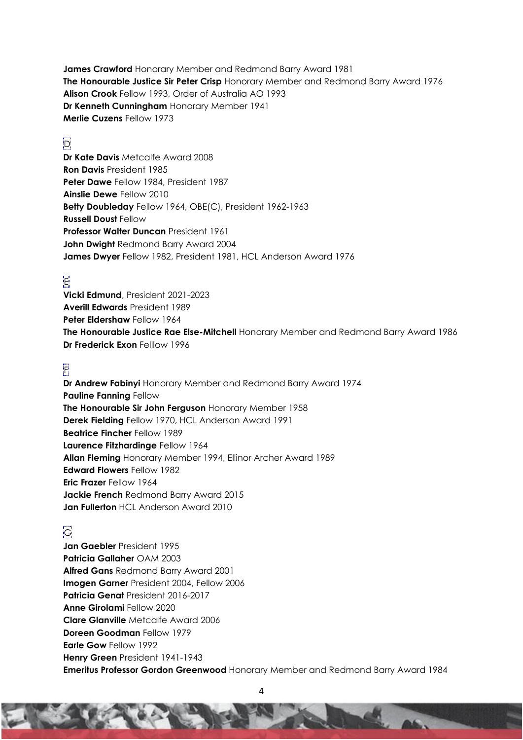**James Crawford** Honorary Member and Redmond Barry Award 1981 **The Honourable Justice Sir Peter Crisp** Honorary Member and Redmond Barry Award 1976 **Alison Crook** Fellow 1993, Order of Australia AO 1993 **Dr Kenneth Cunningham** Honorary Member 1941 **Merlie Cuzens** Fellow 1973

#### D

**Dr Kate Davis** Metcalfe Award 2008 **Ron Davis** President 1985 **Peter Dawe** Fellow 1984, President 1987 **Ainslie Dewe** Fellow 2010 **Betty Doubleday** Fellow 1964, OBE(C), President 1962-1963 **Russell Doust** Fellow **Professor Walter Duncan** President 1961 **John Dwight** Redmond Barry Award 2004 **James Dwyer** Fellow 1982, President 1981, HCL Anderson Award 1976

#### E

**Vicki Edmund**, President 2021-2023 **Averill Edwards** President 1989 **Peter Eldershaw** Fellow 1964 **The Honourable Justice Rae Else-Mitchell** Honorary Member and Redmond Barry Award 1986 **Dr Frederick Exon** Felllow 1996

#### F

**Dr Andrew Fabinyi** Honorary Member and Redmond Barry Award 1974 **Pauline Fanning** Fellow **The Honourable Sir John Ferguson** Honorary Member 1958 **Derek Fielding** Fellow 1970, HCL Anderson Award 1991 **Beatrice Fincher** Fellow 1989 **Laurence Fitzhardinge** Fellow 1964 **Allan Fleming** Honorary Member 1994, Ellinor Archer Award 1989 **Edward Flowers** Fellow 1982 **Eric Frazer** Fellow 1964 **Jackie French** Redmond Barry Award 2015 **Jan Fullerton** HCL Anderson Award 2010

#### G

**Jan Gaebler** President 1995 **Patricia Gallaher** OAM 2003 **Alfred Gans** Redmond Barry Award 2001 **Imogen Garner** President 2004, Fellow 2006 **Patricia Genat** President 2016-2017 **Anne Girolami** Fellow 2020 **Clare Glanville** Metcalfe Award 2006 **Doreen Goodman** Fellow 1979 **Earle Gow** Fellow 1992 **Henry Green** President 1941-1943 **Emeritus Professor Gordon Greenwood** Honorary Member and Redmond Barry Award 1984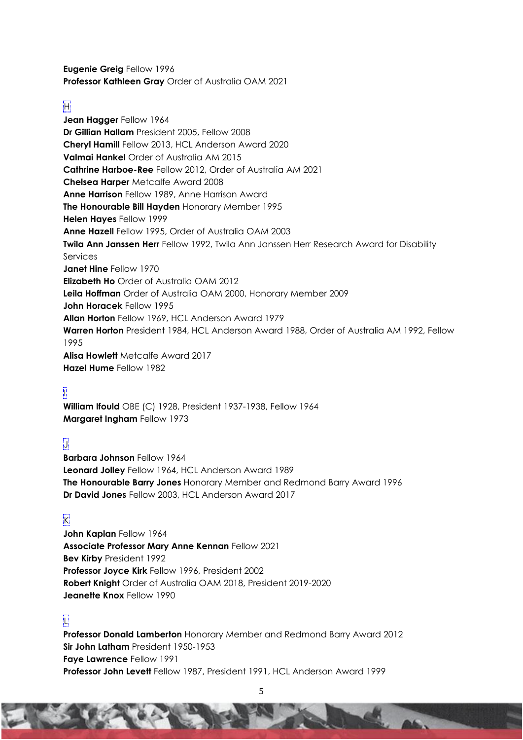**Eugenie Greig** Fellow 1996 **Professor Kathleen Gray** Order of Australia OAM 2021

#### H

**Jean Hagger** Fellow 1964 **Dr Gillian Hallam** President 2005, Fellow 2008 **Cheryl Hamill** Fellow 2013, HCL Anderson Award 2020 **Valmai Hankel** Order of Australia AM 2015 **Cathrine Harboe-Ree** Fellow 2012, Order of Australia AM 2021 **Chelsea Harper** Metcalfe Award 2008 **Anne Harrison** Fellow 1989, Anne Harrison Award **The Honourable Bill Hayden** Honorary Member 1995 **Helen Hayes** Fellow 1999 **Anne Hazell** Fellow 1995, Order of Australia OAM 2003 **Twila Ann Janssen Herr** Fellow 1992, Twila Ann Janssen Herr Research Award for Disability Services **Janet Hine** Fellow 1970 **Elizabeth Ho** Order of Australia OAM 2012 **Leila Hoffman** Order of Australia OAM 2000, Honorary Member 2009 **John Horacek** Fellow 1995 **Allan Horton** Fellow 1969, HCL Anderson Award 1979 **Warren Horton** President 1984, HCL Anderson Award 1988, Order of Australia AM 1992, Fellow 1995 **Alisa Howlett** Metcalfe Award 2017 **Hazel Hume** Fellow 1982

## I

**William Ifould** OBE (C) 1928, President 1937-1938, Fellow 1964 **Margaret Ingham** Fellow 1973

#### J

**Barbara Johnson** Fellow 1964 **Leonard Jolley** Fellow 1964, HCL Anderson Award 1989 **The Honourable Barry Jones** Honorary Member and Redmond Barry Award 1996 **Dr David Jones** Fellow 2003, HCL Anderson Award 2017

#### $\mathbb{K}$

**John Kaplan** Fellow 1964 **Associate Professor Mary Anne Kennan** Fellow 2021 **Bev Kirby** President 1992 **Professor Joyce Kirk** Fellow 1996, President 2002 **Robert Knight** Order of Australia OAM 2018, President 2019-2020 **Jeanette Knox** Fellow 1990

#### L

**Professor Donald Lamberton** Honorary Member and Redmond Barry Award 2012 **Sir John Latham** President 1950-1953 **Faye Lawrence** Fellow 1991 **Professor John Levett** Fellow 1987, President 1991, HCL Anderson Award 1999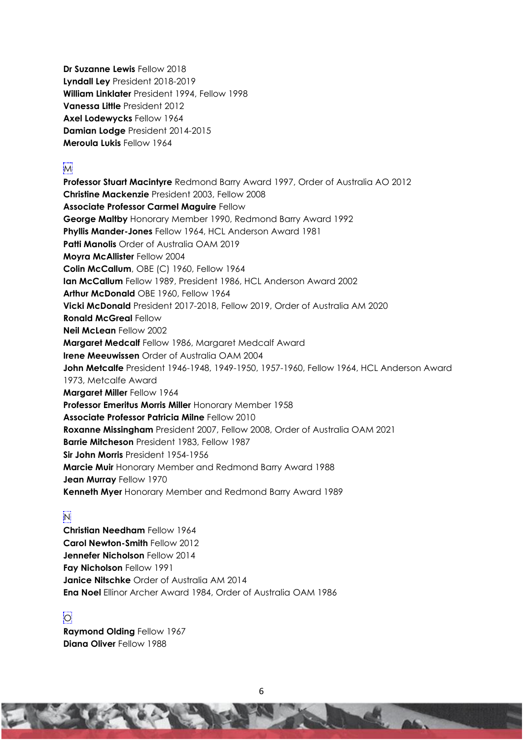**Dr Suzanne Lewis** Fellow 2018 **Lyndall Ley** President 2018-2019 **William Linklater** President 1994, Fellow 1998 **Vanessa Little** President 2012 **Axel Lodewycks** Fellow 1964 **Damian Lodge** President 2014-2015 **Meroula Lukis** Fellow 1964

#### M

**Professor Stuart Macintyre** Redmond Barry Award 1997, Order of Australia AO 2012 **Christine Mackenzie** President 2003, Fellow 2008 **Associate Professor Carmel Maguire** Fellow **George Maltby** Honorary Member 1990, Redmond Barry Award 1992 **Phyllis Mander-Jones** Fellow 1964, HCL Anderson Award 1981 **Patti Manolis** Order of Australia OAM 2019 **Moyra McAllister** Fellow 2004 **Colin McCallum**, OBE (C) 1960, Fellow 1964 **Ian McCallum** Fellow 1989, President 1986, HCL Anderson Award 2002 **Arthur McDonald** OBE 1960, Fellow 1964 **Vicki McDonald** President 2017-2018, Fellow 2019, Order of Australia AM 2020 **Ronald McGreal** Fellow **Neil McLean** Fellow 2002 **Margaret Medcalf** Fellow 1986, Margaret Medcalf Award **Irene Meeuwissen** Order of Australia OAM 2004 **John Metcalfe** President 1946-1948, 1949-1950, 1957-1960, Fellow 1964, HCL Anderson Award 1973, Metcalfe Award **Margaret Miller** Fellow 1964 **Professor Emeritus Morris Miller** Honorary Member 1958 **Associate Professor Patricia Milne** Fellow 2010 **Roxanne Missingham** President 2007, Fellow 2008, Order of Australia OAM 2021 **Barrie Mitcheson** President 1983, Fellow 1987 **Sir John Morris** President 1954-1956 **Marcie Muir** Honorary Member and Redmond Barry Award 1988 **Jean Murray** Fellow 1970 **Kenneth Myer** Honorary Member and Redmond Barry Award 1989

#### N

**Christian Needham** Fellow 1964 **Carol Newton-Smith** Fellow 2012 **Jennefer Nicholson** Fellow 2014 **Fay Nicholson** Fellow 1991 **Janice Nitschke** Order of Australia AM 2014 **Ena Noel** Ellinor Archer Award 1984, Order of Australia OAM 1986

#### $|O|$

**Raymond Olding** Fellow 1967 **Diana Oliver** Fellow 1988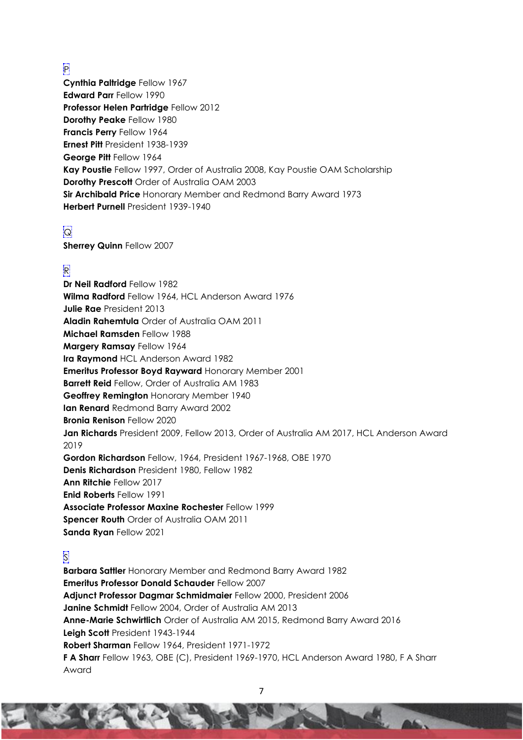## P

**Cynthia Paltridge** Fellow 1967 **Edward Parr** Fellow 1990 **Professor Helen Partridge** Fellow 2012 **Dorothy Peake** Fellow 1980 **Francis Perry** Fellow 1964 **Ernest Pitt** President 1938-1939 **George Pitt** Fellow 1964 **Kay Poustie** Fellow 1997, Order of Australia 2008, Kay Poustie OAM Scholarship **Dorothy Prescott** Order of Australia OAM 2003 **Sir Archibald Price** Honorary Member and Redmond Barry Award 1973 **Herbert Purnell** President 1939-1940

# $|Q|$

**Sherrey Quinn** Fellow 2007

## R

**Dr Neil Radford** Fellow 1982 **Wilma Radford** Fellow 1964, HCL Anderson Award 1976 **Julie Rae** President 2013 **Aladin Rahemtula** Order of Australia OAM 2011 **Michael Ramsden** Fellow 1988 **Margery Ramsay** Fellow 1964 **Ira Raymond** HCL Anderson Award 1982 **Emeritus Professor Boyd Rayward** Honorary Member 2001 **Barrett Reid** Fellow, Order of Australia AM 1983 **Geoffrey Remington** Honorary Member 1940 **Ian Renard** Redmond Barry Award 2002 **Bronia Renison** Fellow 2020 **Jan Richards** President 2009, Fellow 2013, Order of Australia AM 2017, HCL Anderson Award 2019 **Gordon Richardson** Fellow, 1964, President 1967-1968, OBE 1970 **Denis Richardson** President 1980, Fellow 1982 **Ann Ritchie** Fellow 2017 **Enid Roberts** Fellow 1991 **Associate Professor Maxine Rochester** Fellow 1999 **Spencer Routh** Order of Australia OAM 2011 **Sanda Ryan** Fellow 2021

## S

**Barbara Sattler** Honorary Member and Redmond Barry Award 1982 **Emeritus Professor Donald Schauder** Fellow 2007 **Adjunct Professor Dagmar Schmidmaier** Fellow 2000, President 2006 **Janine Schmidt** Fellow 2004, Order of Australia AM 2013 **Anne-Marie Schwirtlich** Order of Australia AM 2015, Redmond Barry Award 2016 **Leigh Scott** President 1943-1944 **Robert Sharman** Fellow 1964, President 1971-1972 **F A Sharr** Fellow 1963, OBE (C), President 1969-1970, HCL Anderson Award 1980, F A Sharr Award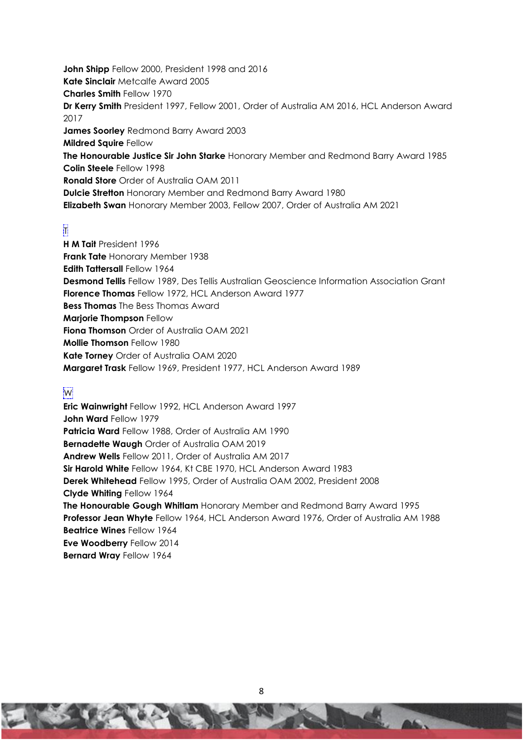**John Shipp** Fellow 2000, President 1998 and 2016 **Kate Sinclair** Metcalfe Award 2005 **Charles Smith** Fellow 1970 **Dr Kerry Smith** President 1997, Fellow 2001, Order of Australia AM 2016, HCL Anderson Award 2017 **James Soorley** Redmond Barry Award 2003 **Mildred Squire** Fellow **The Honourable Justice Sir John Starke** Honorary Member and Redmond Barry Award 1985 **Colin Steele** Fellow 1998 **Ronald Store** Order of Australia OAM 2011 **Dulcie Stretton** Honorary Member and Redmond Barry Award 1980 **Elizabeth Swan** Honorary Member 2003, Fellow 2007, Order of Australia AM 2021

## T

**H M Tait** President 1996 **Frank Tate** Honorary Member 1938 **Edith Tattersall** Fellow 1964 **Desmond Tellis** Fellow 1989, Des Tellis Australian Geoscience Information Association Grant **Florence Thomas** Fellow 1972, HCL Anderson Award 1977 **Bess Thomas** The Bess Thomas Award **Marjorie Thompson** Fellow **Fiona Thomson** Order of Australia OAM 2021 **Mollie Thomson** Fellow 1980 **Kate Torney** Order of Australia OAM 2020 **Margaret Trask** Fellow 1969, President 1977, HCL Anderson Award 1989

#### W

**Eric Wainwright** Fellow 1992, HCL Anderson Award 1997 **John Ward** Fellow 1979 **Patricia Ward** Fellow 1988, Order of Australia AM 1990 **Bernadette Waugh** Order of Australia OAM 2019 **Andrew Wells** Fellow 2011, Order of Australia AM 2017 **Sir Harold White** Fellow 1964, Kt CBE 1970, HCL Anderson Award 1983 **Derek Whitehead** Fellow 1995, Order of Australia OAM 2002, President 2008 **Clyde Whiting** Fellow 1964 **The Honourable Gough Whitlam** Honorary Member and Redmond Barry Award 1995 **Professor Jean Whyte** Fellow 1964, HCL Anderson Award 1976, Order of Australia AM 1988 **Beatrice Wines** Fellow 1964 **Eve Woodberry** Fellow 2014 **Bernard Wray** Fellow 1964

8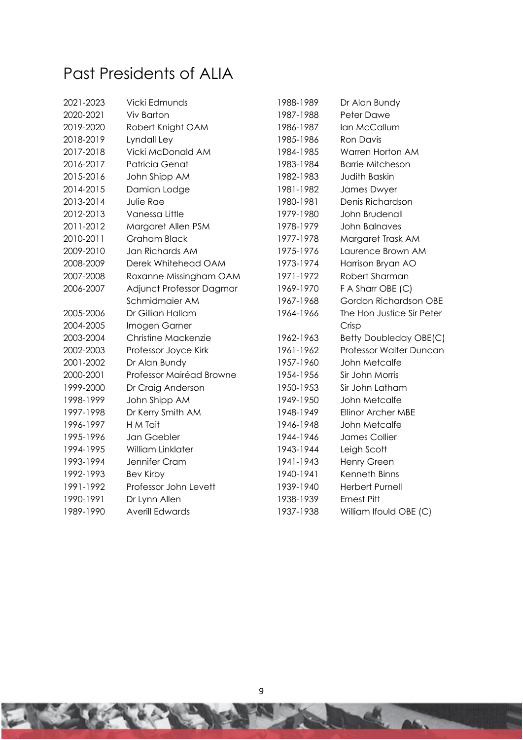# <span id="page-8-0"></span>Past Presidents of ALIA

| Vicki Edmunds            | 1988-1989 | Dr Alan Bundy             |
|--------------------------|-----------|---------------------------|
| <b>Viv Barton</b>        | 1987-1988 | Peter Dawe                |
| Robert Knight OAM        | 1986-1987 | Ian McCallum              |
| Lyndall Ley              | 1985-1986 | <b>Ron Davis</b>          |
| Vicki McDonald AM        | 1984-1985 | Warren Horton AM          |
| Patricia Genat           | 1983-1984 | <b>Barrie Mitcheson</b>   |
| John Shipp AM            | 1982-1983 | <b>Judith Baskin</b>      |
| Damian Lodge             | 1981-1982 | James Dwyer               |
| Julie Rae                | 1980-1981 | Denis Richardson          |
| Vanessa Little           | 1979-1980 | John Brudenall            |
| Margaret Allen PSM       | 1978-1979 | <b>John Balnaves</b>      |
| <b>Graham Black</b>      | 1977-1978 | Margaret Trask AM         |
| Jan Richards AM          | 1975-1976 | Laurence Brown AM         |
| Derek Whitehead OAM      | 1973-1974 | Harrison Bryan AO         |
| Roxanne Missingham OAM   | 1971-1972 | Robert Sharman            |
| Adjunct Professor Dagmar | 1969-1970 | F A Sharr OBE (C)         |
| Schmidmaier AM           | 1967-1968 | Gordon Richardson OBE     |
| Dr Gillian Hallam        | 1964-1966 | The Hon Justice Sir Peter |
| Imogen Garner            |           | Crisp                     |
| Christine Mackenzie      | 1962-1963 | Betty Doubleday OBE(C)    |
| Professor Joyce Kirk     | 1961-1962 | Professor Walter Duncan   |
| Dr Alan Bundy            | 1957-1960 | John Metcalfe             |
| Professor Mairéad Browne | 1954-1956 | Sir John Morris           |
| Dr Craig Anderson        | 1950-1953 | Sir John Latham           |
| John Shipp AM            | 1949-1950 | John Metcalfe             |
| Dr Kerry Smith AM        | 1948-1949 | <b>Ellinor Archer MBE</b> |
| H M Tait                 | 1946-1948 | John Metcalfe             |
| Jan Gaebler              | 1944-1946 | James Collier             |
| William Linklater        | 1943-1944 | Leigh Scott               |
| Jennifer Cram            | 1941-1943 | Henry Green               |
| <b>Bev Kirby</b>         | 1940-1941 | Kenneth Binns             |
| Professor John Levett    | 1939-1940 | <b>Herbert Purnell</b>    |
| Dr Lynn Allen            | 1938-1939 | <b>Ernest Pitt</b>        |
| <b>Averill Edwards</b>   | 1937-1938 | William Ifould OBE (C)    |
|                          |           |                           |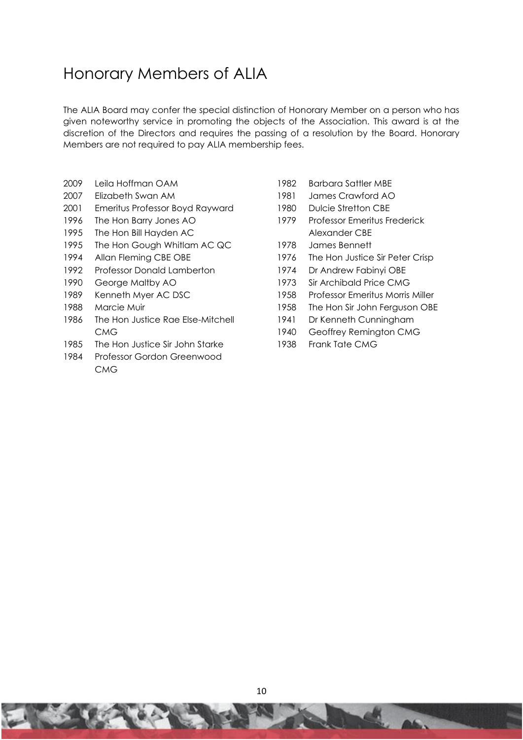# <span id="page-9-0"></span>Honorary Members of ALIA

The ALIA Board may confer the special distinction of Honorary Member on a person who has given noteworthy service in promoting the objects of the Association. This award is at the discretion of the Directors and requires the passing of a resolution by the Board. Honorary Members are not required to pay ALIA membership fees.

- Leila Hoffman OAM
- Elizabeth Swan AM
- Emeritus Professor Boyd Rayward
- The Hon Barry Jones AO
- The Hon Bill Hayden AC
- The Hon Gough Whitlam AC QC
- Allan Fleming CBE OBE
- Professor Donald Lamberton
- George Maltby AO
- Kenneth Myer AC DSC
- Marcie Muir
- The Hon Justice Rae Else-Mitchell **CMG**
- 1985 The Hon Justice Sir John Starke
- Professor Gordon Greenwood **CMG**
- Barbara Sattler MBE
- James Crawford AO
- Dulcie Stretton CBE
- Professor Emeritus Frederick Alexander CBE
- James Bennett
- The Hon Justice Sir Peter Crisp
- Dr Andrew Fabinyi OBE
- Sir Archibald Price CMG
- Professor Emeritus Morris Miller
- The Hon Sir John Ferguson OBE
- Dr Kenneth Cunningham
- Geoffrey Remington CMG
- Frank Tate CMG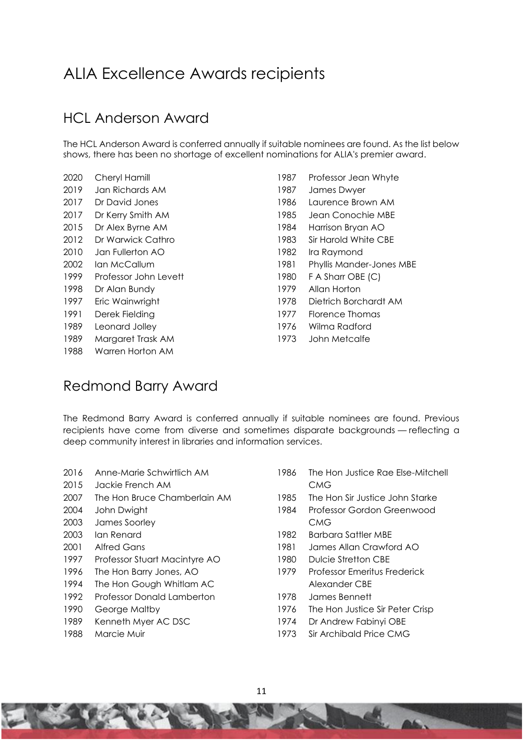# <span id="page-10-0"></span>ALIA Excellence Awards recipients

# <span id="page-10-1"></span>HCL Anderson Award

The HCL Anderson Award is conferred annually if suitable nominees are found. As the list below shows, there has been no shortage of excellent nominations for ALIA's premier award.

- Cheryl Hamill Jan Richards AM
- Dr David Jones
- 2017 Dr Kerry Smith AM
- Dr Alex Byrne AM
- Dr Warwick Cathro
- Jan Fullerton AO
- Ian McCallum
- Professor John Levett
- Dr Alan Bundy
- Eric Wainwright
- Derek Fielding
- Leonard Jolley
- Margaret Trask AM
- Warren Horton AM
- Professor Jean Whyte
- James Dwyer
- Laurence Brown AM
- Jean Conochie MBE
- Harrison Bryan AO
- Sir Harold White CBE
- Ira Raymond
- Phyllis Mander-Jones MBE
- F A Sharr OBE (C)
- Allan Horton
- 1978 Dietrich Borchardt AM
- 1977 Florence Thomas
- 1976 Wilma Radford
- 1973 John Metcalfe

## <span id="page-10-2"></span>Redmond Barry Award

The Redmond Barry Award is conferred annually if suitable nominees are found. Previous recipients have come from diverse and sometimes disparate backgrounds — reflecting a deep community interest in libraries and information services.

- Anne-Marie Schwirtlich AM
- Jackie French AM
- The Hon Bruce Chamberlain AM
- John Dwight
- James Soorley
- Ian Renard
- Alfred Gans
- Professor Stuart Macintyre AO
- The Hon Barry Jones, AO
- The Hon Gough Whitlam AC
- Professor Donald Lamberton
- 1990 George Maltby
- 1989 Kenneth Myer AC DSC
- Marcie Muir
- The Hon Justice Rae Else-Mitchell CMG
- The Hon Sir Justice John Starke
- Professor Gordon Greenwood CMG
- 1982 Barbara Sattler MBE
- James Allan Crawford AO
- Dulcie Stretton CBE
- Professor Emeritus Frederick Alexander CBE
- James Bennett
- The Hon Justice Sir Peter Crisp
- Dr Andrew Fabinyi OBE
- Sir Archibald Price CMG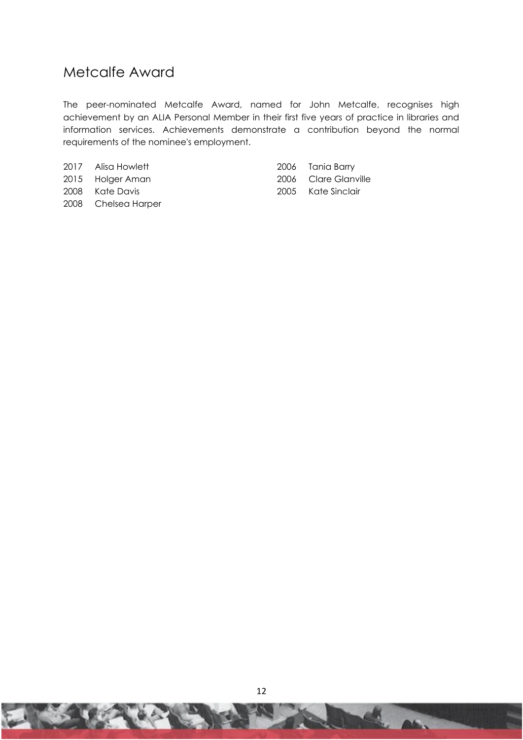# <span id="page-11-0"></span>Metcalfe Award

The peer-nominated Metcalfe Award, named for John Metcalfe, recognises high achievement by an ALIA Personal Member in their first five years of practice in libraries and information services. Achievements demonstrate a contribution beyond the normal requirements of the nominee's employment.

| 2017 Alisa Howlett  | 2006 Tania Barry     |
|---------------------|----------------------|
| 2015 Holger Aman    | 2006 Clare Glanville |
| 2008 Kate Davis     | 2005 Kate Sinclair   |
| 2008 Chelsea Harper |                      |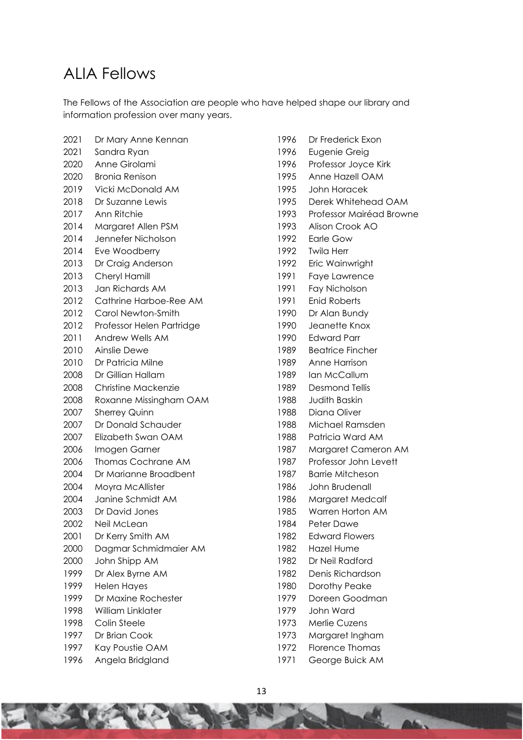# <span id="page-12-0"></span>ALIA Fellows

The Fellows of the Association are people who have helped shape our library and information profession over many years.

- Dr Mary Anne Kennan Sandra Ryan Anne Girolami Bronia Renison Vicki McDonald AM Dr Suzanne Lewis Ann Ritchie Margaret Allen PSM Jennefer Nicholson Eve Woodberry 2013 Dr Craig Anderson Cheryl Hamill Jan Richards AM Cathrine Harboe-Ree AM Carol Newton-Smith Professor Helen Partridge Andrew Wells AM Ainslie Dewe Dr Patricia Milne Dr Gillian Hallam Christine Mackenzie Roxanne Missingham OAM Sherrey Quinn Dr Donald Schauder Elizabeth Swan OAM 2006 Imogen Garner Thomas Cochrane AM Dr Marianne Broadbent Moyra McAllister Janine Schmidt AM Dr David Jones Neil McLean Dr Kerry Smith AM Dagmar Schmidmaier AM John Shipp AM Dr Alex Byrne AM Helen Hayes Dr Maxine Rochester William Linklater 1998 Colin Steele Dr Brian Cook Kay Poustie OAM Angela Bridgland
- Dr Frederick Exon
- Eugenie Greig
- Professor Joyce Kirk
- Anne Hazell OAM
- John Horacek
- Derek Whitehead OAM
- Professor Mairéad Browne
- Alison Crook AO
- Earle Gow
- Twila Herr
- Eric Wainwright
- Faye Lawrence
- Fay Nicholson
- Enid Roberts
- Dr Alan Bundy
- 1990 Jeanette Knox
- 1990 Edward Parr
- 1989 Beatrice Fincher
- 1989 Anne Harrison
- 1989 Ian McCallum
- 1989 Desmond Tellis
- 1988 Judith Baskin
- 1988 Diana Oliver
- 1988 Michael Ramsden
- 1988 Patricia Ward AM
- 1987 Margaret Cameron AM
- 1987 Professor John Levett
- 1987 Barrie Mitcheson
- 1986 John Brudenall
- 1986 Margaret Medcalf
- 1985 Warren Horton AM
- Peter Dawe
- 1982 Edward Flowers
- 1982 Hazel Hume
- 1982 Dr Neil Radford
- 1982 Denis Richardson
- 1980 Dorothy Peake
- 1979 Doreen Goodman
- 1979 John Ward
- 1973 Merlie Cuzens
- 1973 Margaret Ingham
- 1972 Florence Thomas
- 1971 George Buick AM

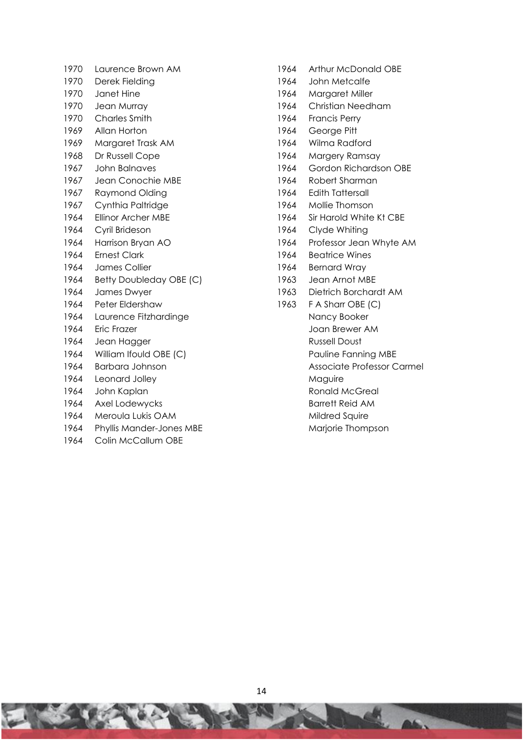- 1970 Laurence Brown AM 1970 Derek Fielding 1970 Janet Hine 1970 Jean Murray 1970 Charles Smith 1969 Allan Horton 1969 Margaret Trask AM 1968 Dr Russell Cope 1967 John Balnaves 1967 Jean Conochie MBE 1967 Raymond Olding 1967 Cynthia Paltridge 1964 Ellinor Archer MBE 1964 Cyril Brideson 1964 Harrison Bryan AO 1964 Ernest Clark 1964 James Collier 1964 Betty Doubleday OBE (C) 1964 James Dwyer 1964 Peter Eldershaw 1964 Laurence Fitzhardinge 1964 Eric Frazer 1964 Jean Hagger 1964 William Ifould OBE (C) 1964 Barbara Johnson 1964 Leonard Jolley 1964 John Kaplan 1964 Axel Lodewycks 1964 Meroula Lukis OAM 1964 Phyllis Mander-Jones MBE 1964 Colin McCallum OBE
- 1964 Arthur McDonald OBE
- 1964 John Metcalfe
- 1964 Margaret Miller
- 1964 Christian Needham
- 1964 Francis Perry
- 1964 George Pitt
- 1964 Wilma Radford
- 1964 Margery Ramsay
- 1964 Gordon Richardson OBE
- 1964 Robert Sharman
- 1964 Edith Tattersall
- 1964 Mollie Thomson
- 1964 Sir Harold White Kt CBE
- 1964 Clyde Whiting
- 1964 Professor Jean Whyte AM
- 1964 Beatrice Wines
- 1964 Bernard Wray
- 1963 Jean Arnot MBE
- 1963 Dietrich Borchardt AM
- 1963 F A Sharr OBE (C)
	- Nancy Booker Joan Brewer AM
		- Russell Doust
		- Pauline Fanning MBE
	- Associate Professor Carmel
	- Maguire
	- Ronald McGreal
	- Barrett Reid AM
	- Mildred Squire
	- Marjorie Thompson